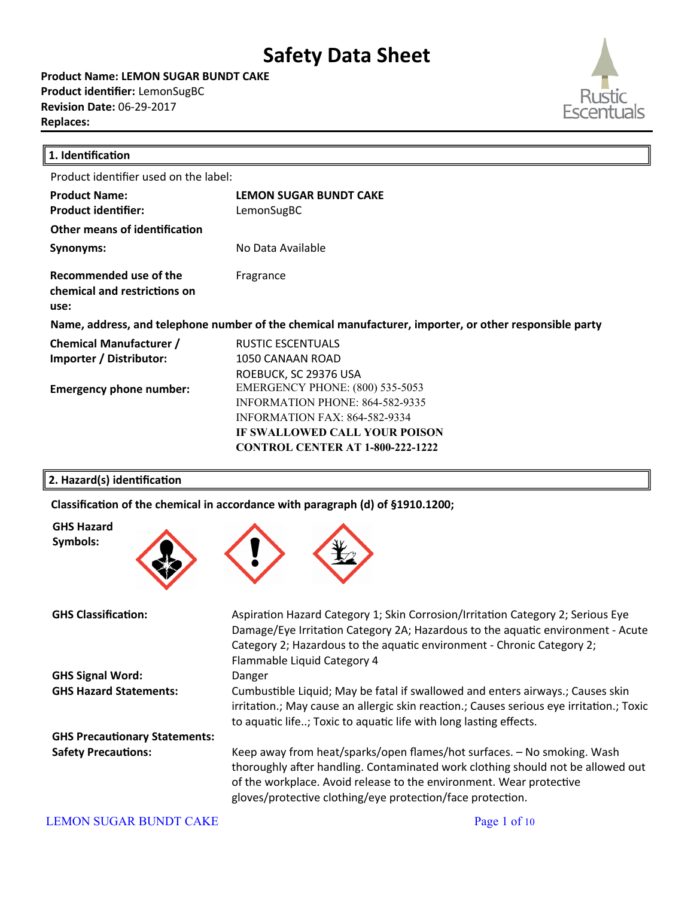**Product Name: LEMON SUGAR BUNDT CAKE Product identifier:** LemonSugBC **Revision Date:** 06-29-2017 **Replaces:** 



| 1. Identification                                              |                                                                                                        |
|----------------------------------------------------------------|--------------------------------------------------------------------------------------------------------|
| Product identifier used on the label:                          |                                                                                                        |
| <b>Product Name:</b>                                           | <b>LEMON SUGAR BUNDT CAKE</b>                                                                          |
| <b>Product identifier:</b>                                     | LemonSugBC                                                                                             |
| Other means of identification                                  |                                                                                                        |
| Synonyms:                                                      | No Data Available                                                                                      |
| Recommended use of the<br>chemical and restrictions on<br>use: | Fragrance                                                                                              |
|                                                                | Name, address, and telephone number of the chemical manufacturer, importer, or other responsible party |
| <b>Chemical Manufacturer /</b>                                 | <b>RUSTIC ESCENTUALS</b>                                                                               |
| Importer / Distributor:                                        | 1050 CANAAN ROAD                                                                                       |
|                                                                | ROEBUCK, SC 29376 USA                                                                                  |
| <b>Emergency phone number:</b>                                 | <b>EMERGENCY PHONE: (800) 535-5053</b>                                                                 |
|                                                                | INFORMATION PHONE: 864-582-9335                                                                        |
|                                                                | <b>INFORMATION FAX: 864-582-9334</b>                                                                   |
|                                                                | <b>IF SWALLOWED CALL YOUR POISON</b>                                                                   |
|                                                                | <b>CONTROL CENTER AT 1-800-222-1222</b>                                                                |
|                                                                |                                                                                                        |

### **2. Hazard(s) identification**

Classification of the chemical in accordance with paragraph (d) of §1910.1200;



**GHS Hazard Symbols:**

**GHS Signal Word:** Danger

**GHS Precautionary Statements:**

GHS Classification: **Aspiration Hazard Category 1; Skin Corrosion/Irritation Category 2; Serious Eye** Damage/Eye Irritation Category 2A; Hazardous to the aquatic environment - Acute Category 2; Hazardous to the aquatic environment - Chronic Category 2; Flammable Liquid Category 4 GHS Hazard Statements: Cumbustible Liquid; May be fatal if swallowed and enters airways.; Causes skin irritation.; May cause an allergic skin reaction.; Causes serious eye irritation.; Toxic to aquatic life..; Toxic to aquatic life with long lasting effects. **Safety Precautions:** Keep away from heat/sparks/open flames/hot surfaces. – No smoking. Wash

thoroughly after handling. Contaminated work clothing should not be allowed out of the workplace. Avoid release to the environment. Wear protective gloves/protective clothing/eye protection/face protection.

#### LEMON SUGAR BUNDT CAKE Page 1 of 10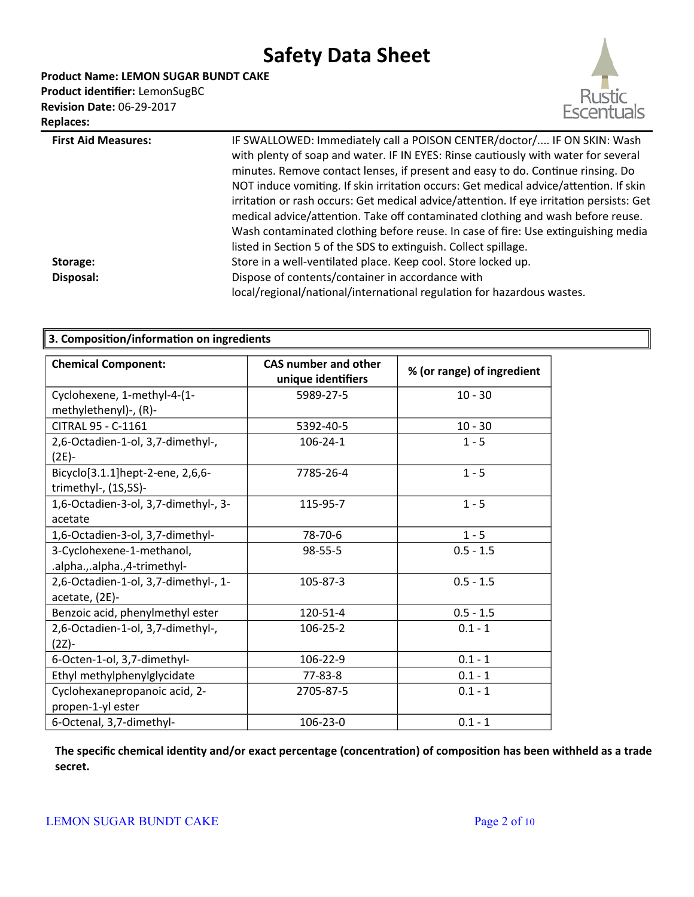**Product Name: LEMON SUGAR BUNDT CAKE**

**Product identifier:** LemonSugBC **Revision Date:** 06-29-2017 **Replaces:** 



| <b>First Aid Measures:</b><br>Storage: | IF SWALLOWED: Immediately call a POISON CENTER/doctor/ IF ON SKIN: Wash<br>with plenty of soap and water. IF IN EYES: Rinse cautiously with water for several<br>minutes. Remove contact lenses, if present and easy to do. Continue rinsing. Do<br>NOT induce vomiting. If skin irritation occurs: Get medical advice/attention. If skin<br>irritation or rash occurs: Get medical advice/attention. If eye irritation persists: Get<br>medical advice/attention. Take off contaminated clothing and wash before reuse.<br>Wash contaminated clothing before reuse. In case of fire: Use extinguishing media<br>listed in Section 5 of the SDS to extinguish. Collect spillage.<br>Store in a well-ventilated place. Keep cool. Store locked up. |
|----------------------------------------|---------------------------------------------------------------------------------------------------------------------------------------------------------------------------------------------------------------------------------------------------------------------------------------------------------------------------------------------------------------------------------------------------------------------------------------------------------------------------------------------------------------------------------------------------------------------------------------------------------------------------------------------------------------------------------------------------------------------------------------------------|
| Disposal:                              | Dispose of contents/container in accordance with<br>local/regional/national/international regulation for hazardous wastes.                                                                                                                                                                                                                                                                                                                                                                                                                                                                                                                                                                                                                        |
|                                        |                                                                                                                                                                                                                                                                                                                                                                                                                                                                                                                                                                                                                                                                                                                                                   |

| 3. Composition/information on ingredients                |                                                   |                            |
|----------------------------------------------------------|---------------------------------------------------|----------------------------|
| <b>Chemical Component:</b>                               | <b>CAS number and other</b><br>unique identifiers | % (or range) of ingredient |
| Cyclohexene, 1-methyl-4-(1-                              | 5989-27-5                                         | $10 - 30$                  |
| methylethenyl)-, (R)-                                    |                                                   |                            |
| CITRAL 95 - C-1161                                       | 5392-40-5                                         | $10 - 30$                  |
| 2,6-Octadien-1-ol, 3,7-dimethyl-,<br>$(2E) -$            | $106 - 24 - 1$                                    | $1 - 5$                    |
| Bicyclo[3.1.1]hept-2-ene, 2,6,6-<br>trimethyl-, (1S,5S)- | 7785-26-4                                         | $1 - 5$                    |
| 1,6-Octadien-3-ol, 3,7-dimethyl-, 3-                     | 115-95-7                                          | $1 - 5$                    |
| acetate                                                  |                                                   |                            |
| 1,6-Octadien-3-ol, 3,7-dimethyl-                         | 78-70-6                                           | $1 - 5$                    |
| 3-Cyclohexene-1-methanol,                                | $98 - 55 - 5$                                     | $0.5 - 1.5$                |
| .alpha.,.alpha.,4-trimethyl-                             |                                                   |                            |
| 2,6-Octadien-1-ol, 3,7-dimethyl-, 1-<br>acetate, (2E)-   | 105-87-3                                          | $0.5 - 1.5$                |
| Benzoic acid, phenylmethyl ester                         | 120-51-4                                          | $0.5 - 1.5$                |
| 2,6-Octadien-1-ol, 3,7-dimethyl-,                        | 106-25-2                                          | $0.1 - 1$                  |
| (2Z)-                                                    |                                                   |                            |
| 6-Octen-1-ol, 3,7-dimethyl-                              | 106-22-9                                          | $0.1 - 1$                  |
| Ethyl methylphenylglycidate                              | 77-83-8                                           | $0.1 - 1$                  |
| Cyclohexanepropanoic acid, 2-                            | 2705-87-5                                         | $0.1 - 1$                  |
| propen-1-yl ester                                        |                                                   |                            |
| 6-Octenal, 3,7-dimethyl-                                 | 106-23-0                                          | $0.1 - 1$                  |

**The specific chemical identity and/or exact percentage (concentration) of composition has been withheld as a trade secret.**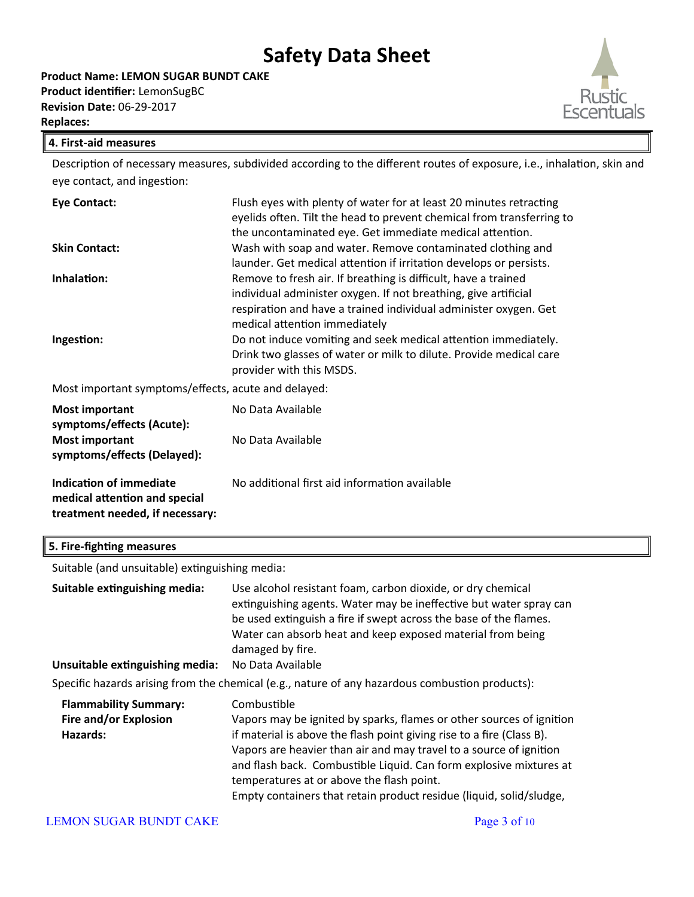

### **4. First-aid measures**

Description of necessary measures, subdivided according to the different routes of exposure, i.e., inhalation, skin and eye contact, and ingestion:

| <b>Eye Contact:</b>                                 | Flush eyes with plenty of water for at least 20 minutes retracting<br>eyelids often. Tilt the head to prevent chemical from transferring to |
|-----------------------------------------------------|---------------------------------------------------------------------------------------------------------------------------------------------|
|                                                     | the uncontaminated eye. Get immediate medical attention.                                                                                    |
| <b>Skin Contact:</b>                                | Wash with soap and water. Remove contaminated clothing and                                                                                  |
|                                                     | launder. Get medical attention if irritation develops or persists.                                                                          |
| Inhalation:                                         | Remove to fresh air. If breathing is difficult, have a trained                                                                              |
|                                                     | individual administer oxygen. If not breathing, give artificial                                                                             |
|                                                     | respiration and have a trained individual administer oxygen. Get                                                                            |
|                                                     | medical attention immediately                                                                                                               |
| Ingestion:                                          | Do not induce vomiting and seek medical attention immediately.                                                                              |
|                                                     | Drink two glasses of water or milk to dilute. Provide medical care                                                                          |
|                                                     | provider with this MSDS.                                                                                                                    |
| Most important symptoms/effects, acute and delayed: |                                                                                                                                             |

Most important symptoms/effects, acute and delayed:

| <b>Most important</b><br>symptoms/effects (Acute):                                          | No Data Available                             |
|---------------------------------------------------------------------------------------------|-----------------------------------------------|
| <b>Most important</b><br>symptoms/effects (Delayed):                                        | No Data Available                             |
| Indication of immediate<br>medical attention and special<br>treatment needed, if necessary: | No additional first aid information available |

### **5. Fire-fighting measures**

Suitable (and unsuitable) extinguishing media:

| Suitable extinguishing media:   | Use alcohol resistant foam, carbon dioxide, or dry chemical<br>extinguishing agents. Water may be ineffective but water spray can<br>be used extinguish a fire if swept across the base of the flames.<br>Water can absorb heat and keep exposed material from being<br>damaged by fire. |
|---------------------------------|------------------------------------------------------------------------------------------------------------------------------------------------------------------------------------------------------------------------------------------------------------------------------------------|
| Unsuitable extinguishing media: | No Data Available                                                                                                                                                                                                                                                                        |
|                                 | Specific hazards arising from the chemical (e.g., nature of any hazardous combustion products):                                                                                                                                                                                          |

| <b>Flammability Summary:</b> | Combustible                                                           |
|------------------------------|-----------------------------------------------------------------------|
| Fire and/or Explosion        | Vapors may be ignited by sparks, flames or other sources of ignition  |
| Hazards:                     | if material is above the flash point giving rise to a fire (Class B). |
|                              | Vapors are heavier than air and may travel to a source of ignition    |
|                              | and flash back. Combustible Liquid. Can form explosive mixtures at    |
|                              | temperatures at or above the flash point.                             |
|                              | Empty containers that retain product residue (liquid, solid/sludge,   |

#### LEMON SUGAR BUNDT CAKE Page 3 of 10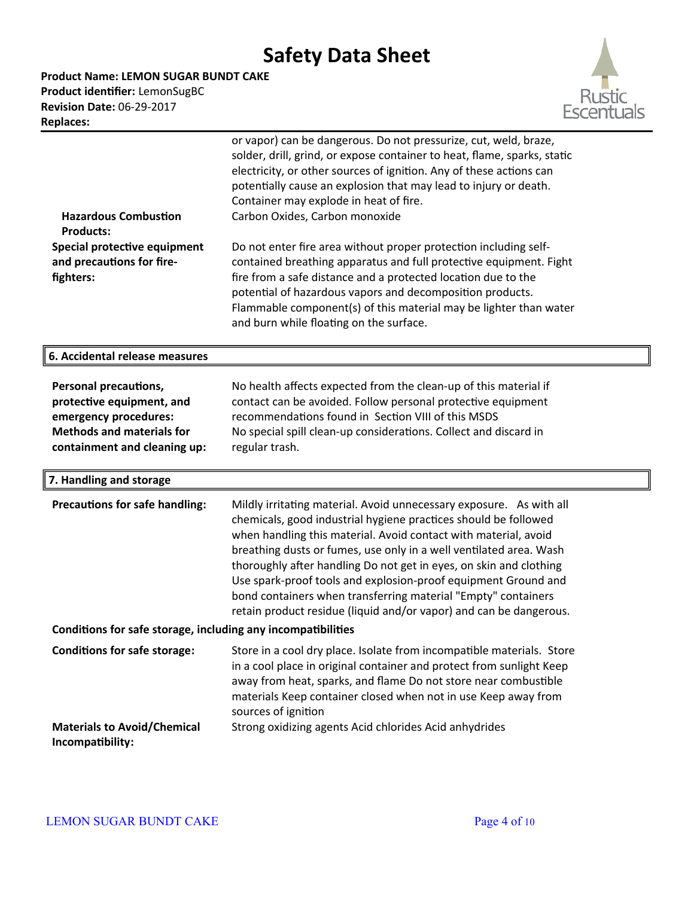**Product Name: LEMON SUGAR BUNDT CAKE Product identifier:** LemonSugBC **Revision Date:** 06-29-2017

**Replaces:** 



| <b>Hazardous Combustion</b><br><b>Products:</b><br>Special protective equipment<br>and precautions for fire-<br>fighters:                       | or vapor) can be dangerous. Do not pressurize, cut, weld, braze,<br>solder, drill, grind, or expose container to heat, flame, sparks, static<br>electricity, or other sources of ignition. Any of these actions can<br>potentially cause an explosion that may lead to injury or death.<br>Container may explode in heat of fire.<br>Carbon Oxides, Carbon monoxide<br>Do not enter fire area without proper protection including self-<br>contained breathing apparatus and full protective equipment. Fight<br>fire from a safe distance and a protected location due to the<br>potential of hazardous vapors and decomposition products.<br>Flammable component(s) of this material may be lighter than water<br>and burn while floating on the surface. |
|-------------------------------------------------------------------------------------------------------------------------------------------------|-------------------------------------------------------------------------------------------------------------------------------------------------------------------------------------------------------------------------------------------------------------------------------------------------------------------------------------------------------------------------------------------------------------------------------------------------------------------------------------------------------------------------------------------------------------------------------------------------------------------------------------------------------------------------------------------------------------------------------------------------------------|
| 6. Accidental release measures                                                                                                                  |                                                                                                                                                                                                                                                                                                                                                                                                                                                                                                                                                                                                                                                                                                                                                             |
| Personal precautions,<br>protective equipment, and<br>emergency procedures:<br><b>Methods and materials for</b><br>containment and cleaning up: | No health affects expected from the clean-up of this material if<br>contact can be avoided. Follow personal protective equipment<br>recommendations found in Section VIII of this MSDS<br>No special spill clean-up considerations. Collect and discard in<br>regular trash.                                                                                                                                                                                                                                                                                                                                                                                                                                                                                |
| 7. Handling and storage                                                                                                                         |                                                                                                                                                                                                                                                                                                                                                                                                                                                                                                                                                                                                                                                                                                                                                             |
| <b>Precautions for safe handling:</b>                                                                                                           | Mildly irritating material. Avoid unnecessary exposure. As with all<br>chemicals, good industrial hygiene practices should be followed<br>when handling this material. Avoid contact with material, avoid<br>breathing dusts or fumes, use only in a well ventilated area. Wash<br>thoroughly after handling Do not get in eyes, on skin and clothing<br>Use spark-proof tools and explosion-proof equipment Ground and<br>bond containers when transferring material "Empty" containers<br>retain product residue (liquid and/or vapor) and can be dangerous.                                                                                                                                                                                              |
| Conditions for safe storage, including any incompatibilities                                                                                    |                                                                                                                                                                                                                                                                                                                                                                                                                                                                                                                                                                                                                                                                                                                                                             |
| <b>Conditions for safe storage:</b>                                                                                                             | Store in a cool dry place. Isolate from incompatible materials. Store<br>in a cool place in original container and protect from sunlight Keep<br>away from heat, sparks, and flame Do not store near combustible<br>materials Keep container closed when not in use Keep away from<br>sources of ignition                                                                                                                                                                                                                                                                                                                                                                                                                                                   |
| <b>Materials to Avoid/Chemical</b><br>Incompatibility:                                                                                          | Strong oxidizing agents Acid chlorides Acid anhydrides                                                                                                                                                                                                                                                                                                                                                                                                                                                                                                                                                                                                                                                                                                      |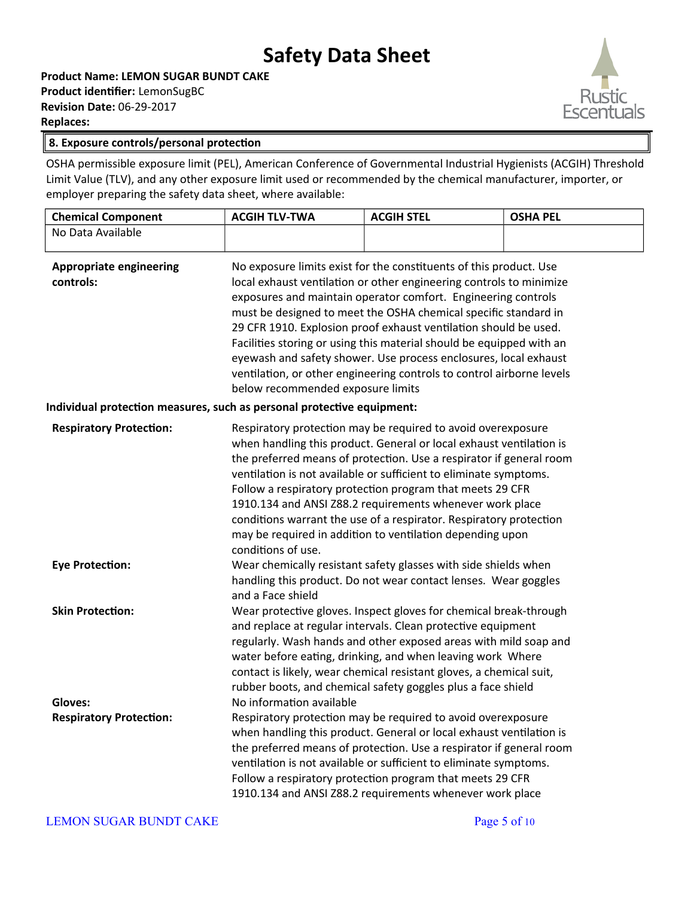**Product Name: LEMON SUGAR BUNDT CAKE Product identifier:** LemonSugBC **Revision Date:** 06-29-2017 **Replaces:** 



#### **8. Exposure controls/personal protection**

OSHA permissible exposure limit (PEL), American Conference of Governmental Industrial Hygienists (ACGIH) Threshold Limit Value (TLV), and any other exposure limit used or recommended by the chemical manufacturer, importer, or employer preparing the safety data sheet, where available:

| <b>Chemical Component</b>                                              | <b>ACGIH TLV-TWA</b>              | <b>ACGIH STEL</b>                                                                                                                                                                                                                                                                                                                                                                                                                                                                                                                                                      | <b>OSHA PEL</b> |
|------------------------------------------------------------------------|-----------------------------------|------------------------------------------------------------------------------------------------------------------------------------------------------------------------------------------------------------------------------------------------------------------------------------------------------------------------------------------------------------------------------------------------------------------------------------------------------------------------------------------------------------------------------------------------------------------------|-----------------|
| No Data Available                                                      |                                   |                                                                                                                                                                                                                                                                                                                                                                                                                                                                                                                                                                        |                 |
| <b>Appropriate engineering</b><br>controls:                            | below recommended exposure limits | No exposure limits exist for the constituents of this product. Use<br>local exhaust ventilation or other engineering controls to minimize<br>exposures and maintain operator comfort. Engineering controls<br>must be designed to meet the OSHA chemical specific standard in<br>29 CFR 1910. Explosion proof exhaust ventilation should be used.<br>Facilities storing or using this material should be equipped with an<br>eyewash and safety shower. Use process enclosures, local exhaust<br>ventilation, or other engineering controls to control airborne levels |                 |
| Individual protection measures, such as personal protective equipment: |                                   |                                                                                                                                                                                                                                                                                                                                                                                                                                                                                                                                                                        |                 |
| <b>Respiratory Protection:</b>                                         | conditions of use.                | Respiratory protection may be required to avoid overexposure<br>when handling this product. General or local exhaust ventilation is<br>the preferred means of protection. Use a respirator if general room<br>ventilation is not available or sufficient to eliminate symptoms.<br>Follow a respiratory protection program that meets 29 CFR<br>1910.134 and ANSI Z88.2 requirements whenever work place<br>conditions warrant the use of a respirator. Respiratory protection<br>may be required in addition to ventilation depending upon                            |                 |
| <b>Eye Protection:</b>                                                 | and a Face shield                 | Wear chemically resistant safety glasses with side shields when<br>handling this product. Do not wear contact lenses. Wear goggles                                                                                                                                                                                                                                                                                                                                                                                                                                     |                 |
| <b>Skin Protection:</b>                                                |                                   | Wear protective gloves. Inspect gloves for chemical break-through<br>and replace at regular intervals. Clean protective equipment<br>regularly. Wash hands and other exposed areas with mild soap and<br>water before eating, drinking, and when leaving work Where<br>contact is likely, wear chemical resistant gloves, a chemical suit,<br>rubber boots, and chemical safety goggles plus a face shield                                                                                                                                                             |                 |
| Gloves:                                                                | No information available          |                                                                                                                                                                                                                                                                                                                                                                                                                                                                                                                                                                        |                 |
| <b>Respiratory Protection:</b>                                         |                                   | Respiratory protection may be required to avoid overexposure<br>when handling this product. General or local exhaust ventilation is<br>the preferred means of protection. Use a respirator if general room<br>ventilation is not available or sufficient to eliminate symptoms.<br>Follow a respiratory protection program that meets 29 CFR<br>1910.134 and ANSI Z88.2 requirements whenever work place                                                                                                                                                               |                 |

#### LEMON SUGAR BUNDT CAKE Page 5 of 10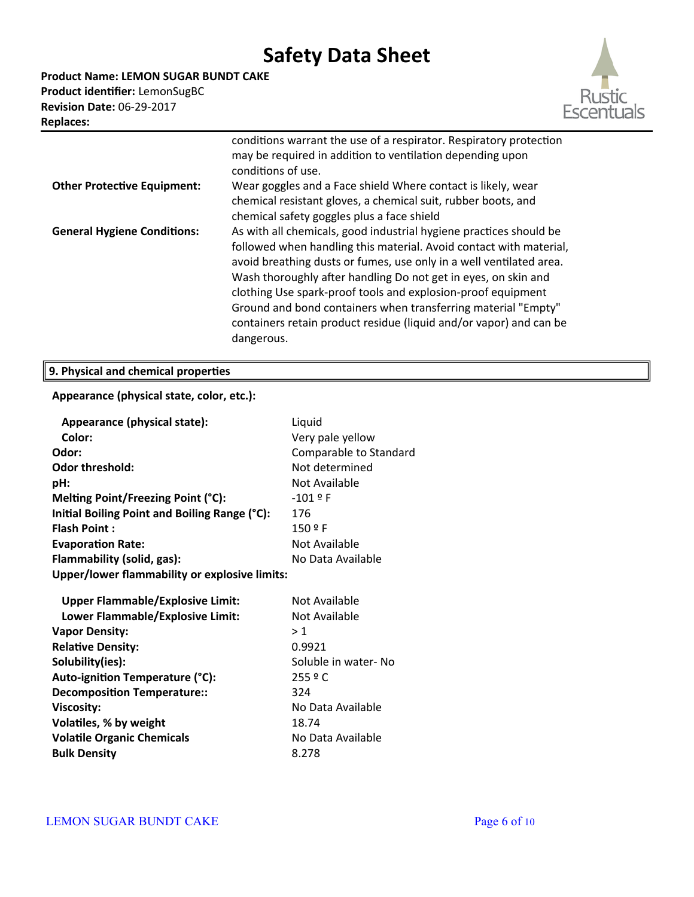**Product Name: LEMON SUGAR BUNDT CAKE Product identifier:** LemonSugBC **Revision Date:** 06-29-2017



| <b>Replaces:</b>                   |                                                                                                                                                                                                                                                                                                                                                                                                                                                                                                        |
|------------------------------------|--------------------------------------------------------------------------------------------------------------------------------------------------------------------------------------------------------------------------------------------------------------------------------------------------------------------------------------------------------------------------------------------------------------------------------------------------------------------------------------------------------|
|                                    | conditions warrant the use of a respirator. Respiratory protection<br>may be required in addition to ventilation depending upon<br>conditions of use.                                                                                                                                                                                                                                                                                                                                                  |
| <b>Other Protective Equipment:</b> | Wear goggles and a Face shield Where contact is likely, wear<br>chemical resistant gloves, a chemical suit, rubber boots, and<br>chemical safety goggles plus a face shield                                                                                                                                                                                                                                                                                                                            |
| <b>General Hygiene Conditions:</b> | As with all chemicals, good industrial hygiene practices should be<br>followed when handling this material. Avoid contact with material,<br>avoid breathing dusts or fumes, use only in a well ventilated area.<br>Wash thoroughly after handling Do not get in eyes, on skin and<br>clothing Use spark-proof tools and explosion-proof equipment<br>Ground and bond containers when transferring material "Empty"<br>containers retain product residue (liquid and/or vapor) and can be<br>dangerous. |

## **9. Physical and chemical properties**

### **Appearance (physical state, color, etc.):**

| Liquid                                               |
|------------------------------------------------------|
| Very pale yellow                                     |
| Comparable to Standard                               |
| Not determined                                       |
| Not Available                                        |
| $-101$ º F                                           |
| 176                                                  |
| 150 º F                                              |
| Not Available                                        |
| No Data Available                                    |
| <b>Upper/lower flammability or explosive limits:</b> |
|                                                      |
| Not Available                                        |
| Not Available                                        |
| >1                                                   |
| 0.9921                                               |
| Soluble in water- No                                 |
| 255°                                                 |
| 324                                                  |
| No Data Available                                    |
| 18.74                                                |
| No Data Available                                    |
| 8.278                                                |
|                                                      |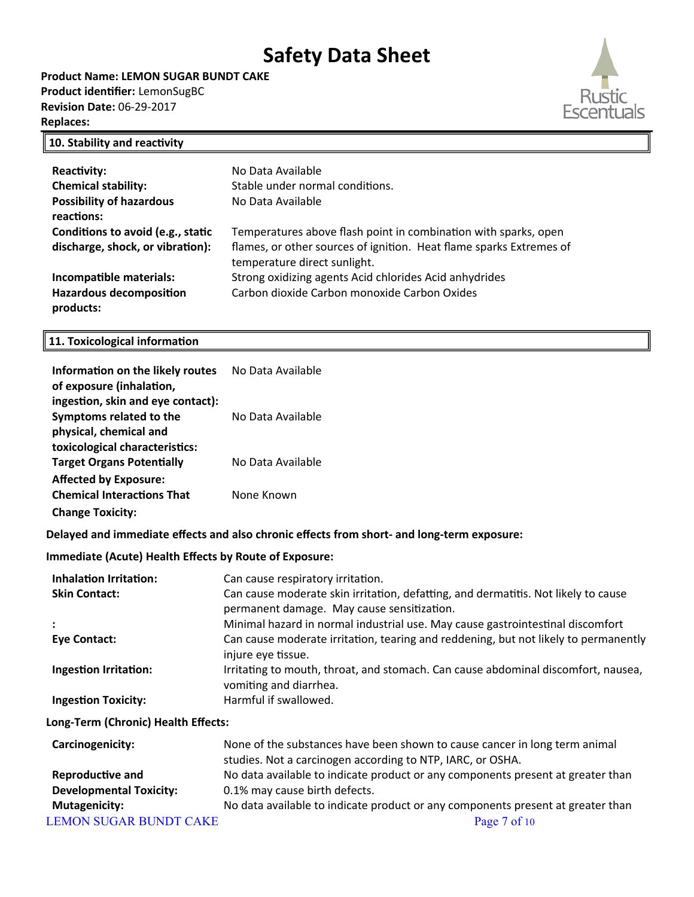**Product Name: LEMON SUGAR BUNDT CAKE Product identifier:** LemonSugBC **Revision Date:** 06-29-2017 **Replaces:** 



### **10. Stability and reactivity**

| <b>Reactivity:</b>                | No Data Available                                                   |
|-----------------------------------|---------------------------------------------------------------------|
| <b>Chemical stability:</b>        | Stable under normal conditions.                                     |
| <b>Possibility of hazardous</b>   | No Data Available                                                   |
| reactions:                        |                                                                     |
| Conditions to avoid (e.g., static | Temperatures above flash point in combination with sparks, open     |
| discharge, shock, or vibration):  | flames, or other sources of ignition. Heat flame sparks Extremes of |
|                                   | temperature direct sunlight.                                        |
| Incompatible materials:           | Strong oxidizing agents Acid chlorides Acid anhydrides              |
| <b>Hazardous decomposition</b>    | Carbon dioxide Carbon monoxide Carbon Oxides                        |
| products:                         |                                                                     |

### **11. Toxicological information**

| Information on the likely routes<br>of exposure (inhalation,                           | No Data Available                                                                                                                                                                           |
|----------------------------------------------------------------------------------------|---------------------------------------------------------------------------------------------------------------------------------------------------------------------------------------------|
| ingestion, skin and eye contact):<br>Symptoms related to the<br>physical, chemical and | No Data Available                                                                                                                                                                           |
| toxicological characteristics:<br><b>Target Organs Potentially</b>                     | No Data Available                                                                                                                                                                           |
| <b>Affected by Exposure:</b><br><b>Chemical Interactions That</b>                      | None Known                                                                                                                                                                                  |
| <b>Change Toxicity:</b>                                                                |                                                                                                                                                                                             |
|                                                                                        | Delayed and immediate effects and also chronic effects from short- and long-term exposure:                                                                                                  |
| <b>Immediate (Acute) Health Effects by Route of Exposure:</b>                          |                                                                                                                                                                                             |
| <b>Inhalation Irritation:</b><br><b>Skin Contact:</b>                                  | Can cause respiratory irritation.<br>Can cause moderate skin irritation, defatting, and dermatitis. Not likely to cause<br>permanent damage. May cause sensitization.                       |
| <b>Eye Contact:</b>                                                                    | Minimal hazard in normal industrial use. May cause gastrointestinal discomfort<br>Can cause moderate irritation, tearing and reddening, but not likely to permanently<br>injure eye tissue. |
| <b>Ingestion Irritation:</b>                                                           | Irritating to mouth, throat, and stomach. Can cause abdominal discomfort, nausea,<br>vomiting and diarrhea.                                                                                 |
| <b>Ingestion Toxicity:</b>                                                             | Harmful if swallowed.                                                                                                                                                                       |
| Long-Term (Chronic) Health Effects:                                                    |                                                                                                                                                                                             |
| Carcinogenicity:                                                                       | None of the substances have been shown to cause cancer in long term animal<br>studies. Not a carcinogen according to NTP, IARC, or OSHA.                                                    |
| <b>Reproductive and</b><br><b>Developmental Toxicity:</b>                              | No data available to indicate product or any components present at greater than<br>0.1% may cause birth defects.                                                                            |
| <b>Mutagenicity:</b><br><b>LEMON SUGAR BUNDT CAKE</b>                                  | No data available to indicate product or any components present at greater than<br>Page 7 of 10                                                                                             |
|                                                                                        |                                                                                                                                                                                             |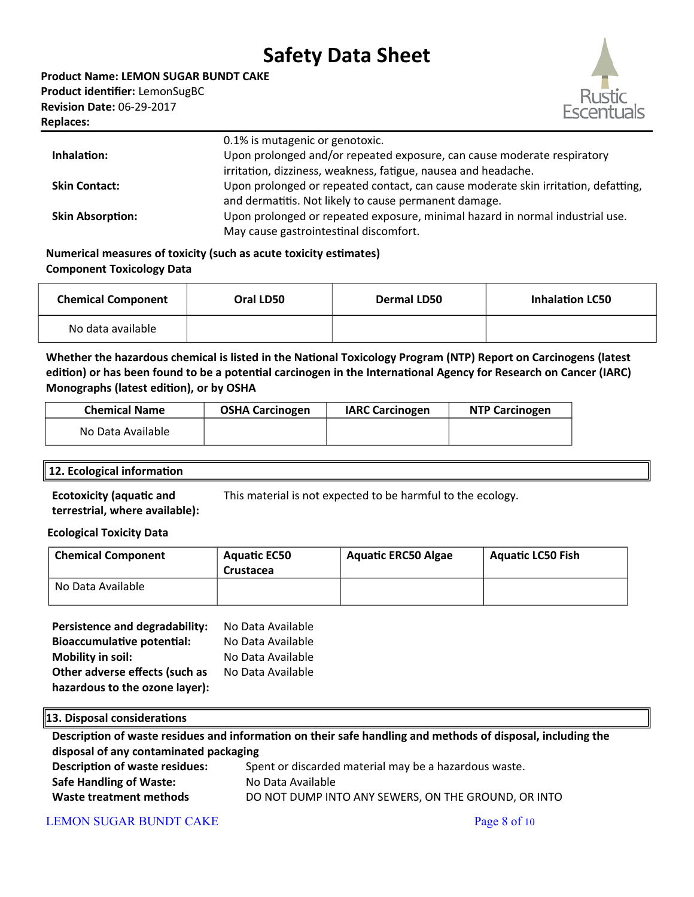**Product Name: LEMON SUGAR BUNDT CAKE Product identifier:** LemonSugBC **Revision Date:** 06-29-2017 **Replaces:** 



|                         | 0.1% is mutagenic or genotoxic.                                                    |
|-------------------------|------------------------------------------------------------------------------------|
| Inhalation:             | Upon prolonged and/or repeated exposure, can cause moderate respiratory            |
|                         | irritation, dizziness, weakness, fatigue, nausea and headache.                     |
| <b>Skin Contact:</b>    | Upon prolonged or repeated contact, can cause moderate skin irritation, defatting, |
|                         | and dermatitis. Not likely to cause permanent damage.                              |
| <b>Skin Absorption:</b> | Upon prolonged or repeated exposure, minimal hazard in normal industrial use.      |
|                         | May cause gastrointestinal discomfort.                                             |

### **Numerical measures of toxicity (such as acute toxicity estimates) Component Toxicology Data**

| <b>Chemical Component</b> | Oral LD50 | <b>Dermal LD50</b> | <b>Inhalation LC50</b> |
|---------------------------|-----------|--------------------|------------------------|
| No data available         |           |                    |                        |

**Whether the hazardous chemical is listed in the National Toxicology Program (NTP) Report on Carcinogens (latest edition) or has been found to be a potential carcinogen in the International Agency for Research on Cancer (IARC) Monographs (latest edition), or by OSHA**

| <b>Chemical Name</b> | <b>OSHA Carcinogen</b> | <b>IARC Carcinogen</b> | <b>NTP Carcinogen</b> |
|----------------------|------------------------|------------------------|-----------------------|
| No Data Available    |                        |                        |                       |

### **12. Ecological information**

**Ecotoxicity (aquatic and terrestrial, where available):** This material is not expected to be harmful to the ecology.

### **Ecological Toxicity Data**

| <b>Chemical Component</b> | <b>Aquatic EC50</b><br>Crustacea | <b>Aquatic ERC50 Algae</b> | <b>Aquatic LC50 Fish</b> |
|---------------------------|----------------------------------|----------------------------|--------------------------|
| No Data Available         |                                  |                            |                          |

| Persistence and degradability:    | No Data Available |
|-----------------------------------|-------------------|
| <b>Bioaccumulative potential:</b> | No Data Available |
| <b>Mobility in soil:</b>          | No Data Available |
| Other adverse effects (such as    | No Data Available |
| hazardous to the ozone layer):    |                   |

#### **13. Disposal considerations**

**Description of waste residues and information on their safe handling and methods of disposal, including the disposal of any contaminated packaging Description of waste residues:** Spent or discarded material may be a hazardous waste. **Safe Handling of Waste:** No Data Available **Waste treatment methods** DO NOT DUMP INTO ANY SEWERS, ON THE GROUND, OR INTO

### LEMON SUGAR BUNDT CAKE Page 8 of 10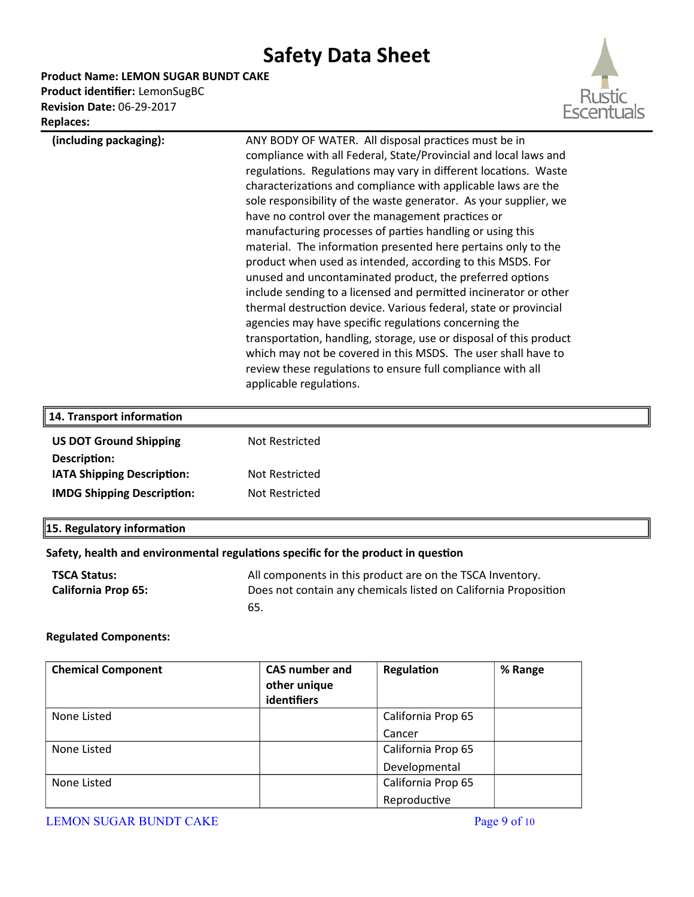**Product Name: LEMON SUGAR BUNDT CAKE**

**Product identifier:** LemonSugBC **Revision Date:** 06-29-2017 **Replaces:** 



| nepiaces.                                                                                                        |                                                                                                                                                                                                                                                                                                                                                                                                                                                                                                                                                                                                                                                                                                                                                                                                                                                                                                                                                                                                                                                                                |
|------------------------------------------------------------------------------------------------------------------|--------------------------------------------------------------------------------------------------------------------------------------------------------------------------------------------------------------------------------------------------------------------------------------------------------------------------------------------------------------------------------------------------------------------------------------------------------------------------------------------------------------------------------------------------------------------------------------------------------------------------------------------------------------------------------------------------------------------------------------------------------------------------------------------------------------------------------------------------------------------------------------------------------------------------------------------------------------------------------------------------------------------------------------------------------------------------------|
| (including packaging):                                                                                           | ANY BODY OF WATER. All disposal practices must be in<br>compliance with all Federal, State/Provincial and local laws and<br>regulations. Regulations may vary in different locations. Waste<br>characterizations and compliance with applicable laws are the<br>sole responsibility of the waste generator. As your supplier, we<br>have no control over the management practices or<br>manufacturing processes of parties handling or using this<br>material. The information presented here pertains only to the<br>product when used as intended, according to this MSDS. For<br>unused and uncontaminated product, the preferred options<br>include sending to a licensed and permitted incinerator or other<br>thermal destruction device. Various federal, state or provincial<br>agencies may have specific regulations concerning the<br>transportation, handling, storage, use or disposal of this product<br>which may not be covered in this MSDS. The user shall have to<br>review these regulations to ensure full compliance with all<br>applicable regulations. |
| 14. Transport information                                                                                        |                                                                                                                                                                                                                                                                                                                                                                                                                                                                                                                                                                                                                                                                                                                                                                                                                                                                                                                                                                                                                                                                                |
| <b>US DOT Ground Shipping</b><br>Description:<br>IATA Shipping Description:<br><b>IMDG Shipping Description:</b> | Not Restricted<br>Not Restricted<br>Not Restricted                                                                                                                                                                                                                                                                                                                                                                                                                                                                                                                                                                                                                                                                                                                                                                                                                                                                                                                                                                                                                             |
|                                                                                                                  |                                                                                                                                                                                                                                                                                                                                                                                                                                                                                                                                                                                                                                                                                                                                                                                                                                                                                                                                                                                                                                                                                |
| 15. Regulatory information                                                                                       |                                                                                                                                                                                                                                                                                                                                                                                                                                                                                                                                                                                                                                                                                                                                                                                                                                                                                                                                                                                                                                                                                |
|                                                                                                                  | Safety, health and environmental regulations specific for the product in question                                                                                                                                                                                                                                                                                                                                                                                                                                                                                                                                                                                                                                                                                                                                                                                                                                                                                                                                                                                              |
| <b>TSCA Status:</b><br><b>California Prop 65:</b>                                                                | All components in this product are on the TSCA Inventory.<br>Does not contain any chemicals listed on California Proposition<br>65.                                                                                                                                                                                                                                                                                                                                                                                                                                                                                                                                                                                                                                                                                                                                                                                                                                                                                                                                            |
| <b>Regulated Components:</b>                                                                                     |                                                                                                                                                                                                                                                                                                                                                                                                                                                                                                                                                                                                                                                                                                                                                                                                                                                                                                                                                                                                                                                                                |

| <b>Chemical Component</b> | <b>CAS</b> number and<br>other unique<br>identifiers | Regulation         | % Range |
|---------------------------|------------------------------------------------------|--------------------|---------|
| None Listed               |                                                      | California Prop 65 |         |
|                           |                                                      | Cancer             |         |
| None Listed               |                                                      | California Prop 65 |         |
|                           |                                                      | Developmental      |         |
| None Listed               |                                                      | California Prop 65 |         |
|                           |                                                      | Reproductive       |         |

LEMON SUGAR BUNDT CAKE Page 9 of 10